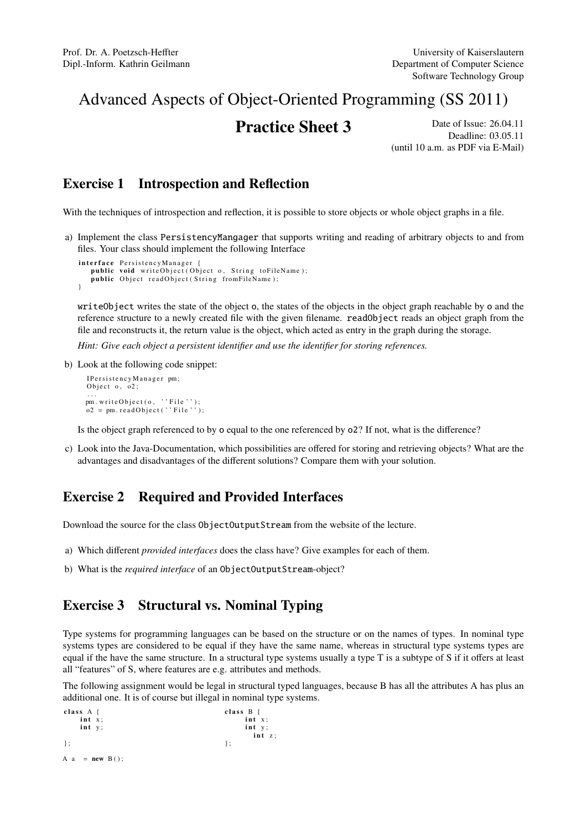# Advanced Aspects of Object-Oriented Programming (SS 2011)

**Practice Sheet 3** Date of Issue: 26.04.11 Deadline: 03.05.11 (until 10 a.m. as PDF via E-Mail)

# Exercise 1 Introspection and Reflection

With the techniques of introspection and reflection, it is possible to store objects or whole object graphs in a file.

a) Implement the class PersistencyMangager that supports writing and reading of arbitrary objects to and from files. Your class should implement the following Interface

```
interface PersistencyManager {
   public void writeObject (Object o, String toFileName);
   public Object readObject (String fromFileName);
}
```
writeObject writes the state of the object o, the states of the objects in the object graph reachable by o and the reference structure to a newly created file with the given filename. readObject reads an object graph from the file and reconstructs it, the return value is the object, which acted as entry in the graph during the storage.

*Hint: Give each object a persistent identifier and use the identifier for storing references.*

b) Look at the following code snippet:

```
I P er s i sten c y M a n a g e r pm;
Object o, oo2;
...<br>pm.writeObject(o, ''File'');
o2 = pm.readObject(' 'File '');
```
Is the object graph referenced to by o equal to the one referenced by o2? If not, what is the difference?

c) Look into the Java-Documentation, which possibilities are offered for storing and retrieving objects? What are the advantages and disadvantages of the different solutions? Compare them with your solution.

## Exercise 2 Required and Provided Interfaces

Download the source for the class ObjectOutputStream from the website of the lecture.

a) Which different *provided interfaces* does the class have? Give examples for each of them.

b) What is the *required interface* of an ObjectOutputStream-object?

## Exercise 3 Structural vs. Nominal Typing

Type systems for programming languages can be based on the structure or on the names of types. In nominal type systems types are considered to be equal if they have the same name, whereas in structural type systems types are equal if the have the same structure. In a structural type systems usually a type T is a subtype of S if it offers at least all "features" of S, where features are e.g. attributes and methods.

The following assignment would be legal in structural typed languages, because B has all the attributes A has plus an additional one. It is of course but illegal in nominal type systems.

```
class A \{ class B \{ class B \{ int x:int x; int x;
  \frac{1}{1} in t y; \frac{1}{1} in t y;
                           int z;} ; {} } ;
A a = new B():
```